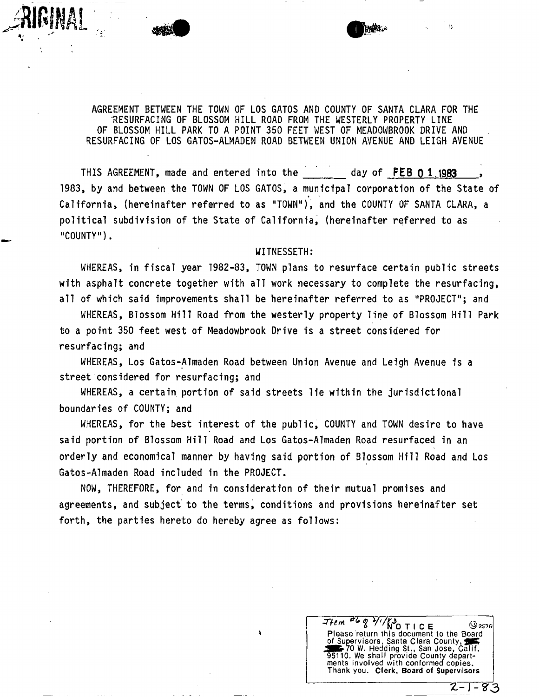AGREEMENT BETWEEN THE TOWN OF LOS GATOS AND COUNTY OF SANTA CLARA FOR THE RESURFACING OF BLOSSOM HILL ROAD FROM THE WESTERLY PROPERTY LINE OF BLOSSOM HILL PARK TO A POINT 350 FEET WEST OF MEADOWBROOK DRIVE AND RESURFACING OF LOS GATOS-ALMADEN ROAD BETWEEN UNION AVENUE AND LEIGH AVENUE

THIS AGREEMENT, made and entered into the day of FEB 0 1 1983 7983, by and between the TOWN OF LOS GATOS, a municipal corporation of the State of California, (hereinafter referred to as "TOWN"), and the COUNTY OF SANTA CLARA, a political subdivision of the State of California, (hereinafter referred to as "COUNTY").

#### WITNESSETH:

WHEREAS, in fiscal year 1982-83, TOWN plans to resurface certain public streets with asphalt concrete together with all work necessary to complete the resurfacing, all of which said improvements shall be hereinafter referred to as "PROJECT"; and

WHEREAS, Blossom Hill Road from the westerly property line of Blossom Hill Park to a point 350 feet west of Meadowbrook Drive is a street considered for resurfacing; and

WHEREAS, Los Gatos-Almaden Road between Union Avenue and Leigh Avenue is a street considered for resurfacing; and

WHEREAS, a certain portion of said streets lie within the jurisdictional boundaries of COUNTY; and

WHEREAS, for the best interest of the public, COUNTY and TOWN desire to have said portion of Blossom Hill Road and Los Gatos-Almaden Road resurfaced in an orderly and economical manner by having said portion of Blossom Hill Road and Los Gatos-Almaden Road included in the PROJECT.

NOW, THEREFORE, for and in consideration of their mutual promises and agreements, and subject to the terms, conditions and provisions hereinafter set forth, the parties hereto do hereby agree as follows:

 $T$   $H$   $e$   $m$   $T$   $g$   $V$   $t$   $N$   $T$   $I$   $C$   $E$   $Q$   $2576$ Please return this document to the Board of Supervisors, Santa Clara County, 70 W. Hedding St., San Jose, Calif. 95110. We shall provide County departments involved with conformed copies. Thank you. **Clerk, Board of Supervisors**   *Z-l-S' 3*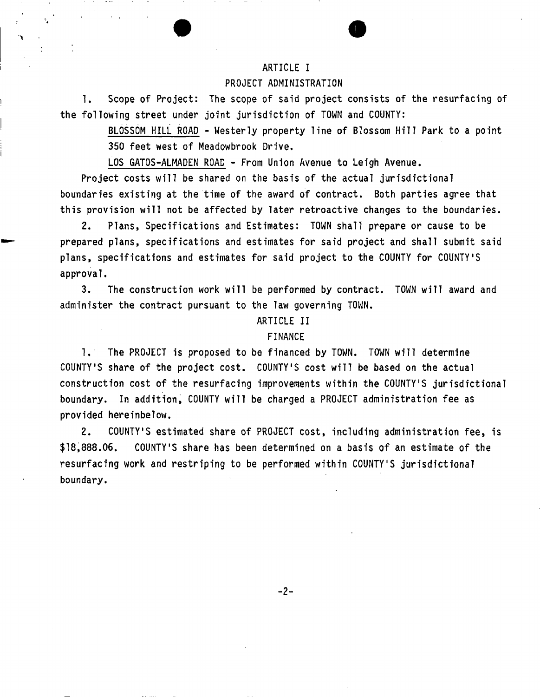# ARTICLE I

# PROJECT ADMINISTRATION

1. Scope of Project: The scope of said project consists of the resurfacing of the following street under joint jurisdiction of TOWN and COUNTY:

> BLOSSOM HILL ROAD - Westerly property line of Blossom Hill Park to a point 350 feet west of Meadowbrook Drive.

LOS GATOS-ALMADEN ROAD - From Union Avenue to Leigh Avenue.

Project costs will be shared on the basis of the actual jurisdictional boundaries existing at the time of the award of contract. Both parties agree that this provision will not be affected by later retroactive changes to the boundaries.

2. Plans, Specifications and Estimates: TOWN shall prepare or cause to be prepared plans, specifications and estimates for said project and shall submit said plans, specifications and estimates for said project to the COUNTY for COUNTY'S approval.

3. The construction work will be performed by contract. TOWN will award and administer the contract pursuant to the law governing TOWN.

# ARTICLE II

# FINANCE

1. The PROJECT is proposed to be financed by TOWN. TOWN will determine COUNTY'S share of the project cost. COUNTY'S cost will be based on the actual construction cost of the resurfacing improvements within the COUNTY'S jurisdictional boundary. In addition, COUNTY will be charged a PROJECT administration fee as provided hereinbelow.

2. COUNTY'S estimated share of PROJECT cost, including administration fee, is \$18,888.06. COUNTY'S share has been determined on a basis of an estimate of the resurfacing work and restriping to be performed within COUNTY'S jurisdictional boundary.

 $-2-$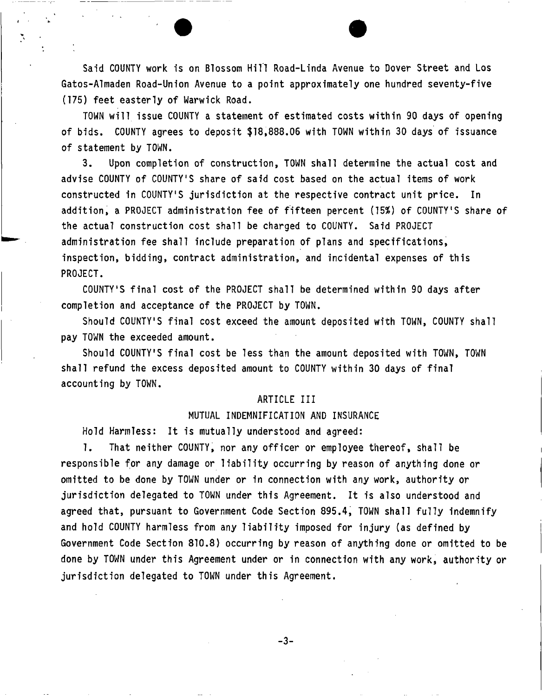Said COUNTY work is on Blossom Hill Road-Linda Avenue to Dover Street and Los Gatos-Almaden Road-Union Avenue to a point approximately one hundred seventy-five (175) feet easterly of Warwick Road.

TOWN will issue COUNTY a statement of estimated costs within 90 days of opening of bids. COUNTY agrees to deposit \$18,888.06 with TOWN within 30 days of issuance of statement by TOWN.

3. Upon completion of construction, TOWN shall determine the actual cost and advise COUNTY of COUNTY'S share of said cost based on the actual items of work constructed in COUNTY'S jurisdiction at the respective contract unit price. In addition, a PROJECT administration fee of fifteen percent (15%) of COUNTY'S share of the actual construction cost shall be charged to COUNTY. Said PROJECT administration fee shall include preparation of plans and specifications, inspection, bidding, contract administration, and incidental expenses of this PROJECT.

COUNTY'S final cost of the PROJECT shall be determined within 90 days after completion and acceptance of the PROJECT by TOWN.

Should COUNTY'S final cost exceed the amount deposited with TOWN, COUNTY shall pay TOWN the exceeded amount.

Should COUNTY'S final cost be less than the amount deposited with TOWN, TOWN shall refund the excess deposited amount to COUNTY within 30 days of final accounting by TOWN.

# ARTICLE III

# MUTUAL INDEMNIFICATION AND INSURANCE

Hold Harmless: It is mutually understood and agreed:

1. That neither COUNTY, nor any officer or employee thereof, shall be responsible for any damage or liability occurring by reason of anything done or omitted to be done by TOWN under or in connection with any work, authority or jurisdiction delegated to TOWN under this Agreement. It is also understood and agreed that, pursuant to Government Code Section 895.4, TOWN shall fully indemnify and hold COUNTY harmless from any liability imposed for injury (as defined by Government Code Section 810.8) occurring by reason of anything done or omitted to be done by TOWN under this Agreement under or in connection with any work, authority or jurisdiction delegated to TOWN under this Agreement.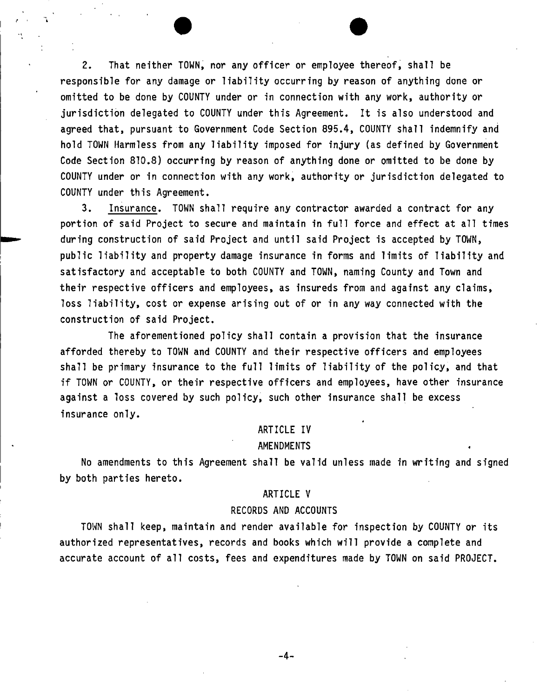2. That neither TOWN, nor any officer or employee thereof, shall be responsible for any damage or liability occurring by reason of anything done or omitted to be done by COUNTY under or in connection with any work, authority or jurisdiction delegated to COUNTY under this Agreement, It is also understood and agreed that, pursuant to Government Code Section 895.4, COUNTY shall indemnify and hold TOWN Harmless from any liability imposed for injury (as defined by Government Code Section 810,8) occurring by reason of anything done or omitted to be done by COUNTY under or in connection with any work, authority or jurisdiction delegated to COUNTY under this Agreement.

3. Insurance. TOWN shall require any contractor awarded a contract for any portion of said Project to secure and maintain in full force and effect at all times during construction of said Project and until said Project is accepted by TOWN, public liability and property damage insurance in forms and limits of liability and satisfactory and acceptable to both COUNTY and TOWN, naming County and Town and their respective officers and employees, as insureds from and against any claims, loss liability, cost or expense arising out of or in any way connected with the construction of said Project.

The aforementioned policy shall contain a provision that the insurance afforded thereby to TOWN and COUNTY and their respective officers and employees shall be primary insurance to the full limits of liability of the policy, and that if TOWN or COUNTY, or their respective officers and employees, have other insurance against a loss covered by such policy, such other insurance shall be excess insurance only.

### ARTICLE IV

#### AMENDMENTS

No amendments to this Agreement shall be valid unless made in writing and signed by both parties hereto.

#### ARTICLE V

#### RECORDS AND ACCOUNTS

TOWN shall keep, maintain and render available for inspection by COUNTY or its authorized representatives, records and books which will provide a complete and accurate account of all costs, fees and expenditures made by TOWN on said PROJECT.

-4-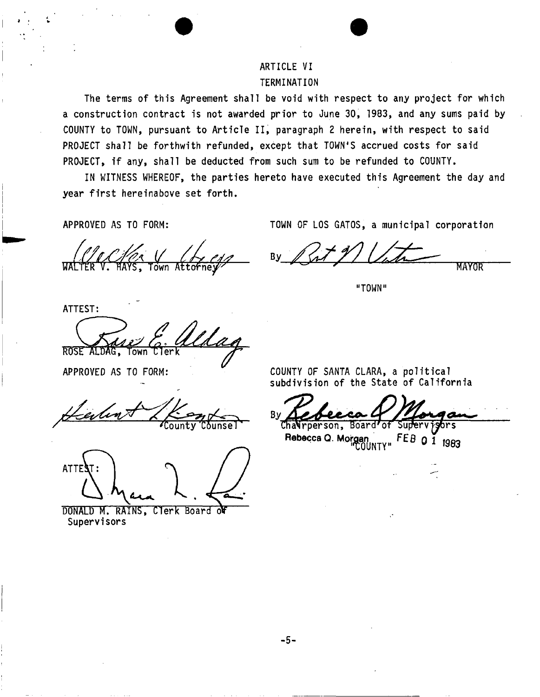# ARTICLE VI TERMINATION

The terms of this Agreement shall be void with respect to any project for which a construction contract is not awarded prior to June 30, 1983, and any sums paid by COUNTY to TOWN, pursuant to Article II, paragraph 2 herein, with respect to said PROJECT shall be forthwith refunded, except that TOWN'S accrued costs for said PROJECT, if any, shall be deducted from such sum to be refunded to COUNTY.

IN WITNESS WHEREOF, the parties hereto have executed this Agreement the day and year first hereinabove set forth.

APPROVED AS TO FORM:

TOWN OF LOS GATOS, a municipal corporation

By MAYOR

"TOWN"

ATTEST dag

⊺own

APPROVED AS TO FORM:

**ROSE** 

County Counsel

ATTEST: **I .** 

DONALD M. RAINS, Clerk Board Supervisors

COUNTY OF SANTA CLARA, a political subdivision of the State of California

Cha**Nr**person, Rebecca Q. Morgan<br>
COUNTY"<br>
COUNTY"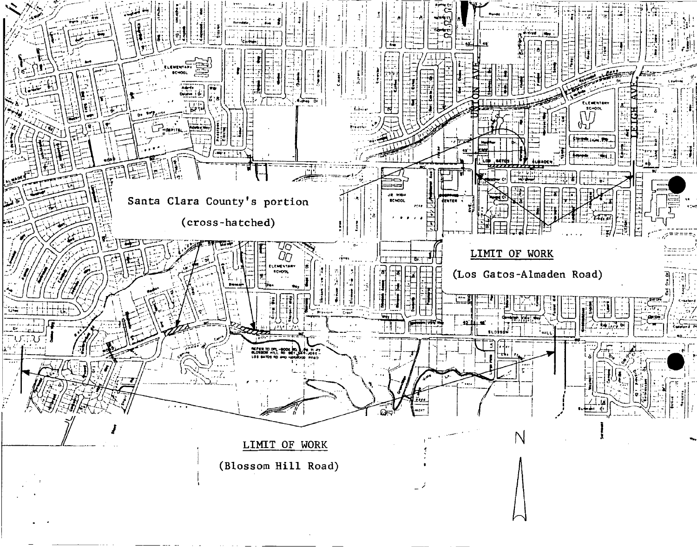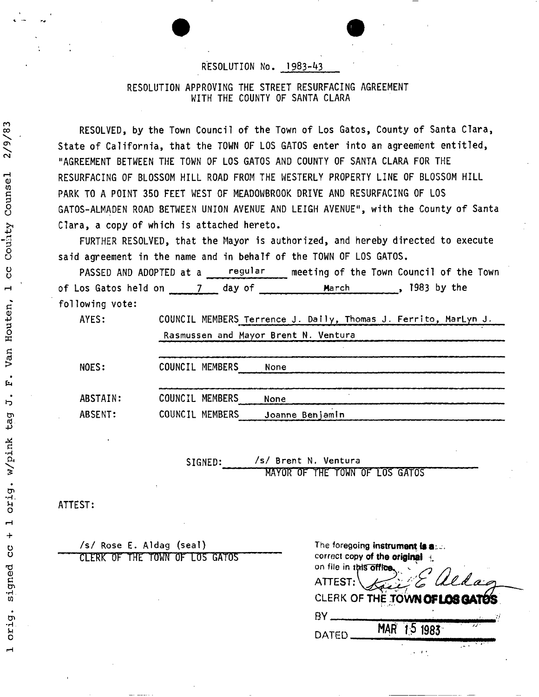# RESOLUTION No. 1983-43

# RESOLUTION APPROVING THE STREET RESURFACING AGREEMENT WITH THE COUNTY OF SANTA CLARA

RESOLVED, by the Town Council of the Town of Los Gatos, County of Santa Clara, State of California, that the TOWN OF LOS GATOS enter into an agreement entitled, "AGREEMENT BETWEEN THE TOWN OF LOS GATOS AND COUNTY OF SANTA CLARA FOR THE RESURFACING OF BLOSSOM HILL ROAD FROM THE WESTERLY PROPERTY LINE OF BLOSSOM HILL PARK TO A POINT 350 FEET WEST OF MEADOWBROOK DRIVE AND RESURFACING OF LOS GATOS-ALMADEN ROAD BETWEEN UNION AVENUE AND LEIGH AVENUE", with the County of Santa Clara, a copy of which is attached hereto.

FURTHER RESOLVED, that the Mayor is authorized, and hereby directed to execute said agreement in the name and in behalf of the TOWN OF LOS GATOS.

PASSED AND ADOPTED at a regular meeting of the Town Council of the Town of Los Gatos held on 7 day of March March , 1983 by the following vote:

AYES: COUNCIL MEMBERS Terrence J. Dally, Thomas J. Ferrito, MarLyn J,

|          | Rasmussen and Mayor Brent N. Ventura<br>والمسالح المسالح المسالح المسالح المسالح المسالح والمسالح المستنا والمستقصد والمستقر والمتنازل |      |  |  |
|----------|----------------------------------------------------------------------------------------------------------------------------------------|------|--|--|
| NOES:    | COUNCIL MEMBERS                                                                                                                        | None |  |  |
| ABSTAIN: | COUNCIL MEMBERS                                                                                                                        | None |  |  |

ABSENT: COUNCIL MEMBERS Joanne Benjamin

> SIGNED: /s/ Brent N. Ventura MAYOR OF THE TOWN OF LOS GATOS

ATTEST:

/s/ Rose E. Aldag (seal) CLERK OF THE TOWN OP LOS GATOS

| The foregoing instrument is a<br>correct copy of the original |             |       |  |
|---------------------------------------------------------------|-------------|-------|--|
| on file in this office.                                       |             |       |  |
| ATTEST:                                                       |             | Ullac |  |
| CLERK OF THE TOWN OF LOS GATOS                                |             |       |  |
| R٧                                                            |             |       |  |
| DATED                                                         | MAR 15 1983 |       |  |
|                                                               |             |       |  |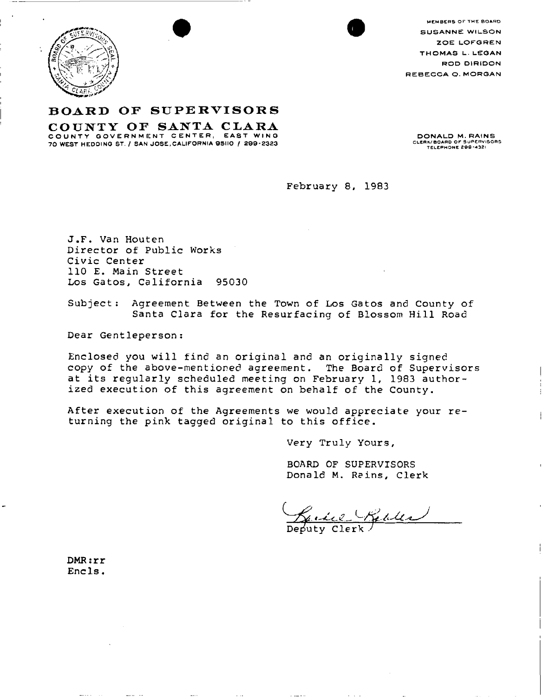

MEMBERS OF THE BOARD SUSANNE WILSON ZOELOFGREN THOMAS L. LEOAN ROD DIRIDON REBECCA Q. MORGAN

# **BOAR D O F SUPERVISOR <sup>S</sup>**

**COUNT Y O F SANT A CLAR <sup>A</sup>** COUNT Y GOVERNMENT CENTER, EAST WIND

DONALD M. RAINS CLERK/ BOARD OF SUPERVISORS<br>TELEPHONE 200-4321

**February 8, 1983** 

**J.F . Van Houten**  Director of Public Works **Civi c Center 110 E . Main Street L os Gatos , California 95030** 

Subject: Agreement Between the Town of Los Gatos and County of Santa Clara for the Resurfacing of Blossom Hill Road

**Dear Gent leperson:** 

**Enclosed you wil l find an origina l and an originally signed copy of the above-mentioned agreement . The Board of Supervisors at its regularly scheduled meeting on February 1, 1983 authorized execution of this agreement on behalf of the County .** 

After execution of the Agreements we would appreciate your re**turning the pink tagged original to this office .** 

**Very Truly Yours ,** 

**BOARD OF SUPERVISORS Dona Id M . Ra ins, Clerk** 

Relles

**iuty** 

**DMR:r r Encls •**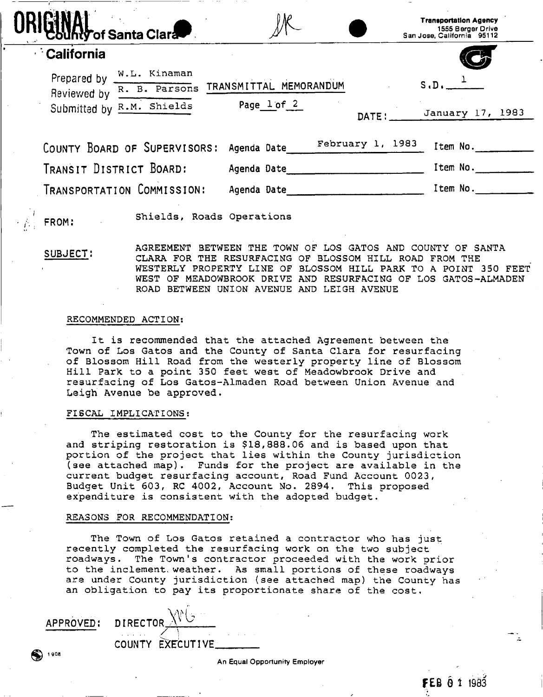| California<br>Prepared by $\frac{W.L.}{W.L.}$ Kinaman<br>S.D.<br>TRANSMITTAL MEMORANDUM<br>Reviewed by R. B. Parsons<br>Page lof <sub>2</sub><br>Submitted by R.M. Shields<br>DATE:<br>February 1, 1983<br>Item No.<br>COUNTY BOARD OF SUPERVISORS:<br>Agenda Date | <b>Mhty of Santa Clara</b> | <b>Transportation Agency</b><br>1555 Berger Drive<br>San Jose, California 95112 |
|--------------------------------------------------------------------------------------------------------------------------------------------------------------------------------------------------------------------------------------------------------------------|----------------------------|---------------------------------------------------------------------------------|
|                                                                                                                                                                                                                                                                    |                            |                                                                                 |
|                                                                                                                                                                                                                                                                    |                            |                                                                                 |
|                                                                                                                                                                                                                                                                    |                            | January 17, 1983                                                                |
|                                                                                                                                                                                                                                                                    |                            |                                                                                 |
| TRANSIT DISTRICT BOARD:<br>Item No.<br>Agenda Date                                                                                                                                                                                                                 |                            |                                                                                 |
| TRANSPORTATION COMMISSION:<br>Item No.<br>Agenda Date                                                                                                                                                                                                              |                            |                                                                                 |

FROM: **Shields, Roads Operations** 

SUBJECT: **AGREEMENT BETWEEN THE TOWN OF LOS GATOS AND COUNTY OF SANTA CLARA FOR THE RESURFACING OF BLOSSOM HILL ROAD FROM THE WESTERL Y PROPERTY LINE OF BLOSSOM HILL PARK TO A POINT 350 FEET WEST OF MEADOWBROOK DRIVE AND RESURFACING OF LOS GATOS-ALMADEN ROAD BETWEEN UNION AVENUE AND LEIGH AVENUE** 

# **RECOMMENDED ACTION:**

**It is recommended that the attached Agreement between the Town of Los Gatos and the County of Santa Clara for resurfacing of Blossom Hill Road from the westerly property line of Blossom Hill Park to a point 350 feet west of Meadowbrook Drive and resurfacing of Los Gatos-Almaden Road between Union Avenue and Leigh Avenue be approved .** 

#### **FISCAL IMPLICATIONS:**

The estimated cost to the County for the resurfacing work **and striping restoration is \$18,888.06 and is based upon that portion of the project that lies within the County jurisdiction (see attached map) . Funds for the project are available in the current budget resurfacing account, Road Fund Account 0023, Budget Unit 603, RC 4002, Account No. 2894. This proposed expenditure is consistent with the adopted budget .** 

#### **REASONS FOR RECOMMENDATION:**

**T h e Town of Los Gatos retained a contractor who has just recently completed the resurfacing work on the two subject roadways . The Town's contractor proceeded with the work prior to the inclement, weather . As small portions of these roadways are under County jurisdiction (see attached map) the County has an obligation to pay its proportionate share of the cost .** 

APPROVED:

1 90 S

DIRECTOR  $\Delta$  $\diagup$   $\diagup$ COUNTY EXECUTIVE.

An Equal Opportunity Employer